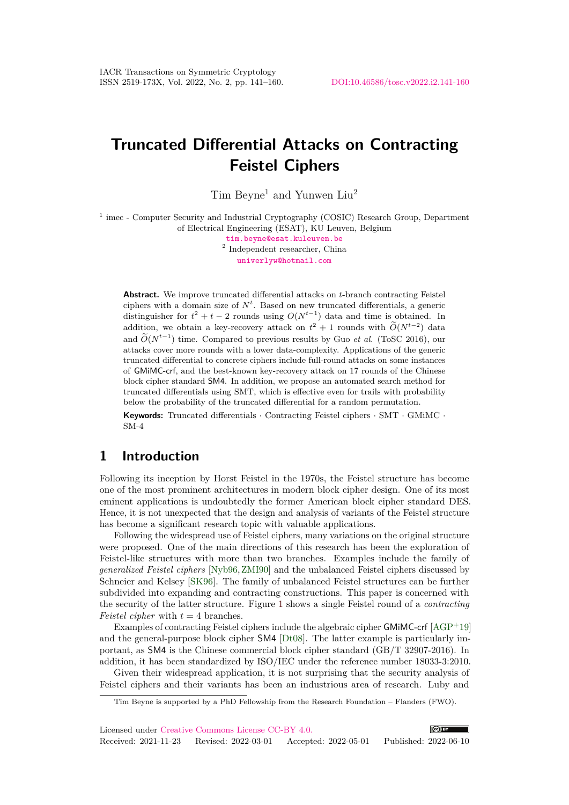# **Truncated Differential Attacks on Contracting Feistel Ciphers**

 $Tim$  Beyne<sup>1</sup> and Yunwen Liu<sup>2</sup>

<sup>1</sup> imec - Computer Security and Industrial Cryptography (COSIC) Research Group, Department of Electrical Engineering (ESAT), KU Leuven, Belgium

> [tim.beyne@esat.kuleuven.be](mailto:tim.beyne@esat.kuleuven.be) 2 Independent researcher, China [univerlyw@hotmail.com](mailto:univerlyw@hotmail.com)

**Abstract.** We improve truncated differential attacks on *t*-branch contracting Feistel ciphers with a domain size of  $N<sup>t</sup>$ . Based on new truncated differentials, a generic distinguisher for  $t^2 + t - 2$  rounds using  $O(N^{t-1})$  data and time is obtained. In addition, we obtain a key-recovery attack on  $t^2 + 1$  rounds with  $O(N^{t-2})$  data and  $\widetilde{O}(N^{t-1})$  time. Compared to previous results by Guo *et al.* (ToSC 2016), our attacks cover more rounds with a lower data-complexity. Applications of the generic truncated differential to concrete ciphers include full-round attacks on some instances of GMiMC-crf, and the best-known key-recovery attack on 17 rounds of the Chinese block cipher standard SM4. In addition, we propose an automated search method for truncated differentials using SMT, which is effective even for trails with probability below the probability of the truncated differential for a random permutation[.](#page-0-0)

**Keywords:** Truncated differentials · Contracting Feistel ciphers · SMT · GMiMC · SM-4

## **1 Introduction**

Following its inception by Horst Feistel in the 1970s, the Feistel structure has become one of the most prominent architectures in modern block cipher design. One of its most eminent applications is undoubtedly the former American block cipher standard DES. Hence, it is not unexpected that the design and analysis of variants of the Feistel structure has become a significant research topic with valuable applications.

Following the widespread use of Feistel ciphers, many variations on the original structure were proposed. One of the main directions of this research has been the exploration of Feistel-like structures with more than two branches. Examples include the family of *generalized Feistel ciphers* [\[Nyb96,](#page-18-0)[ZMI90\]](#page-19-0) and the unbalanced Feistel ciphers discussed by Schneier and Kelsey [\[SK96\]](#page-19-1). The family of unbalanced Feistel structures can be further subdivided into expanding and contracting constructions. This paper is concerned with the security of the latter structure. Figure [1](#page-1-0) shows a single Feistel round of a *contracting Feistel cipher* with *t* = 4 branches.

Examples of contracting Feistel ciphers include the algebraic cipher GMiMC-crf [\[AGP](#page-17-0)+19] and the general-purpose block cipher SM4 [\[Dt08\]](#page-17-1). The latter example is particularly important, as SM4 is the Chinese commercial block cipher standard (GB/T 32907-2016). In addition, it has been standardized by ISO/IEC under the reference number 18033-3:2010.

Given their widespread application, it is not surprising that the security analysis of Feistel ciphers and their variants has been an industrious area of research. Luby and

Licensed under [Creative Commons License CC-BY 4.0.](http://creativecommons.org/licenses/by/4.0/)  $(c)$  BY Received: 2021-11-23 Revised: 2022-03-01 Accepted: 2022-05-01 Published: 2022-06-10

<span id="page-0-0"></span>Tim Beyne is supported by a PhD Fellowship from the Research Foundation – Flanders (FWO).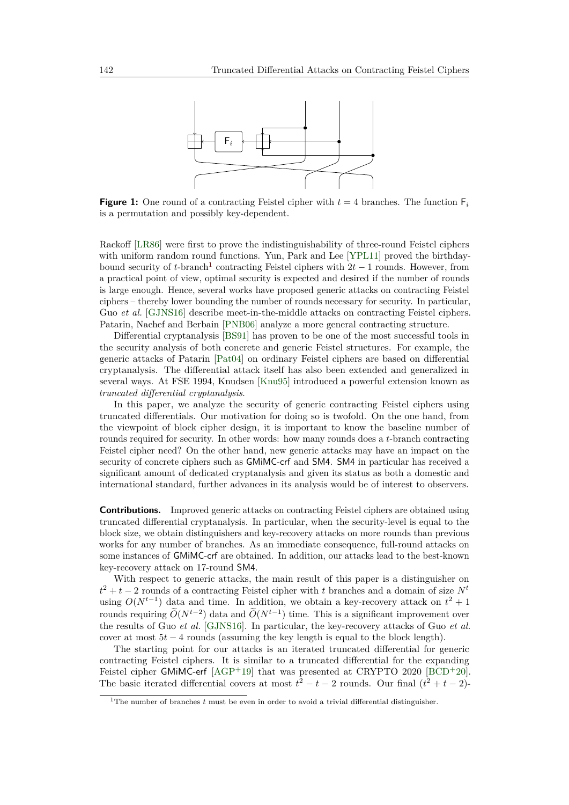<span id="page-1-0"></span>

**Figure 1:** One round of a contracting Feistel cipher with  $t = 4$  branches. The function  $F_i$ is a permutation and possibly key-dependent.

Rackoff [\[LR86\]](#page-18-1) were first to prove the indistinguishability of three-round Feistel ciphers with uniform random round functions. Yun, Park and Lee [\[YPL11\]](#page-19-2) proved the birthdaybound security of *t*-branch<sup>[1](#page-1-1)</sup> contracting Feistel ciphers with  $2t - 1$  rounds. However, from a practical point of view, optimal security is expected and desired if the number of rounds is large enough. Hence, several works have proposed generic attacks on contracting Feistel ciphers – thereby lower bounding the number of rounds necessary for security. In particular, Guo *et al.* [\[GJNS16\]](#page-18-2) describe meet-in-the-middle attacks on contracting Feistel ciphers. Patarin, Nachef and Berbain [\[PNB06\]](#page-18-3) analyze a more general contracting structure.

Differential cryptanalysis [\[BS91\]](#page-17-2) has proven to be one of the most successful tools in the security analysis of both concrete and generic Feistel structures. For example, the generic attacks of Patarin [\[Pat04\]](#page-18-4) on ordinary Feistel ciphers are based on differential cryptanalysis. The differential attack itself has also been extended and generalized in several ways. At FSE 1994, Knudsen [\[Knu95\]](#page-18-5) introduced a powerful extension known as *truncated differential cryptanalysis*.

In this paper, we analyze the security of generic contracting Feistel ciphers using truncated differentials. Our motivation for doing so is twofold. On the one hand, from the viewpoint of block cipher design, it is important to know the baseline number of rounds required for security. In other words: how many rounds does a *t*-branch contracting Feistel cipher need? On the other hand, new generic attacks may have an impact on the security of concrete ciphers such as GMiMC-crf and SM4. SM4 in particular has received a significant amount of dedicated cryptanalysis and given its status as both a domestic and international standard, further advances in its analysis would be of interest to observers.

**Contributions.** Improved generic attacks on contracting Feistel ciphers are obtained using truncated differential cryptanalysis. In particular, when the security-level is equal to the block size, we obtain distinguishers and key-recovery attacks on more rounds than previous works for any number of branches. As an immediate consequence, full-round attacks on some instances of GMiMC-crf are obtained. In addition, our attacks lead to the best-known key-recovery attack on 17-round SM4.

With respect to generic attacks, the main result of this paper is a distinguisher on  $t^2 + t - 2$  rounds of a contracting Feistel cipher with *t* branches and a domain of size  $N^t$ using  $O(N^{t-1})$  data and time. In addition, we obtain a key-recovery attack on  $t^2 + 1$ rounds requiring  $O(N^{t-2})$  data and  $O(N^{t-1})$  time. This is a significant improvement over the results of Guo *et al.* [\[GJNS16\]](#page-18-2). In particular, the key-recovery attacks of Guo *et al.* cover at most  $5t - 4$  rounds (assuming the key length is equal to the block length).

The starting point for our attacks is an iterated truncated differential for generic contracting Feistel ciphers. It is similar to a truncated differential for the expanding Feistel cipher GMiMC-erf [\[AGP](#page-17-0)<sup>+</sup>19] that was presented at CRYPTO 2020 [\[BCD](#page-17-3)<sup>+</sup>20]. The basic iterated differential covers at most  $t^2 - t - 2$  rounds. Our final  $(t^2 + t - 2)$ -

<span id="page-1-1"></span><sup>&</sup>lt;sup>1</sup>The number of branches *t* must be even in order to avoid a trivial differential distinguisher.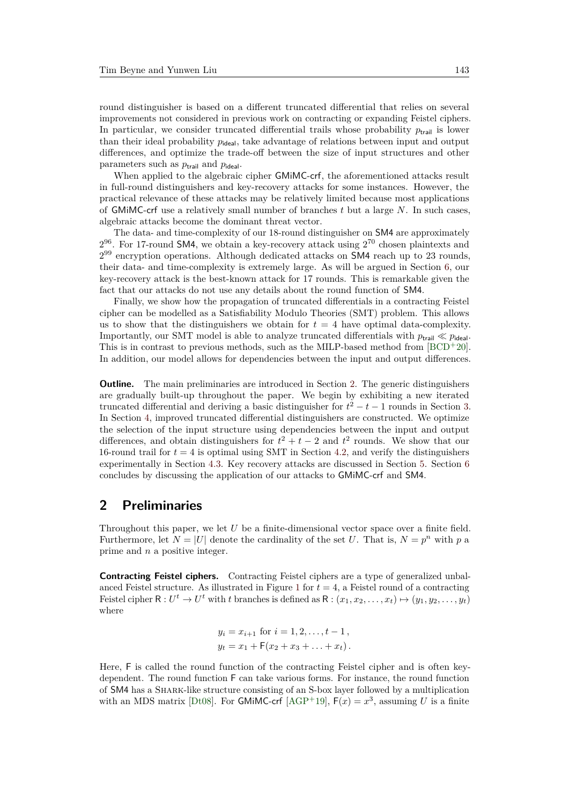round distinguisher is based on a different truncated differential that relies on several improvements not considered in previous work on contracting or expanding Feistel ciphers. In particular, we consider truncated differential trails whose probability  $p_{\text{trail}}$  is lower than their ideal probability  $p_{\text{ideal}}$ , take advantage of relations between input and output differences, and optimize the trade-off between the size of input structures and other parameters such as  $p_{\text{trail}}$  and  $p_{\text{ideal}}$ .

When applied to the algebraic cipher GMiMC-crf, the aforementioned attacks result in full-round distinguishers and key-recovery attacks for some instances. However, the practical relevance of these attacks may be relatively limited because most applications of GMiMC-crf use a relatively small number of branches *t* but a large *N*. In such cases, algebraic attacks become the dominant threat vector.

The data- and time-complexity of our 18-round distinguisher on SM4 are approximately  $2^{96}$ . For 17-round SM4, we obtain a key-recovery attack using  $2^{70}$  chosen plaintexts and 2<sup>99</sup> encryption operations. Although dedicated attacks on SM4 reach up to 23 rounds, their data- and time-complexity is extremely large. As will be argued in Section [6,](#page-15-0) our key-recovery attack is the best-known attack for 17 rounds. This is remarkable given the fact that our attacks do not use any details about the round function of SM4.

Finally, we show how the propagation of truncated differentials in a contracting Feistel cipher can be modelled as a Satisfiability Modulo Theories (SMT) problem. This allows us to show that the distinguishers we obtain for  $t = 4$  have optimal data-complexity. Importantly, our SMT model is able to analyze truncated differentials with  $p_{\text{trail}} \ll p_{\text{ideal}}$ . This is in contrast to previous methods, such as the MILP-based method from  $[BCD+20]$  $[BCD+20]$ . In addition, our model allows for dependencies between the input and output differences.

**Outline.** The main preliminaries are introduced in Section [2.](#page-2-0) The generic distinguishers are gradually built-up throughout the paper. We begin by exhibiting a new iterated truncated differential and deriving a basic distinguisher for  $t^2 - t - 1$  rounds in Section [3.](#page-4-0) In Section [4,](#page-9-0) improved truncated differential distinguishers are constructed. We optimize the selection of the input structure using dependencies between the input and output differences, and obtain distinguishers for  $t^2 + t - 2$  and  $t^2$  rounds. We show that our 16-round trail for  $t = 4$  is optimal using SMT in Section [4.2,](#page-12-0) and verify the distinguishers experimentally in Section [4.3.](#page-13-0) Key recovery attacks are discussed in Section [5.](#page-14-0) Section [6](#page-15-0) concludes by discussing the application of our attacks to GMiMC-crf and SM4.

### <span id="page-2-0"></span>**2 Preliminaries**

Throughout this paper, we let *U* be a finite-dimensional vector space over a finite field. Furthermore, let  $N = |U|$  denote the cardinality of the set *U*. That is,  $N = p^n$  with *p* a prime and *n* a positive integer.

**Contracting Feistel ciphers.** Contracting Feistel ciphers are a type of generalized unbal-anced Feistel structure. As illustrated in Figure [1](#page-1-0) for  $t = 4$ , a Feistel round of a contracting Feistel cipher  $R: U^t \to U^t$  with *t* branches is defined as  $R: (x_1, x_2, \ldots, x_t) \mapsto (y_1, y_2, \ldots, y_t)$ where

$$
y_i = x_{i+1}
$$
 for  $i = 1, 2, ..., t - 1$ ,  
\n $y_t = x_1 + F(x_2 + x_3 + ... + x_t)$ .

Here, F is called the round function of the contracting Feistel cipher and is often keydependent. The round function F can take various forms. For instance, the round function of SM4 has a Shark-like structure consisting of an S-box layer followed by a multiplication with an MDS matrix [\[Dt08\]](#page-17-1). For GMIMC-crf [\[AGP](#page-17-0)<sup>+</sup>19],  $F(x) = x^3$ , assuming *U* is a finite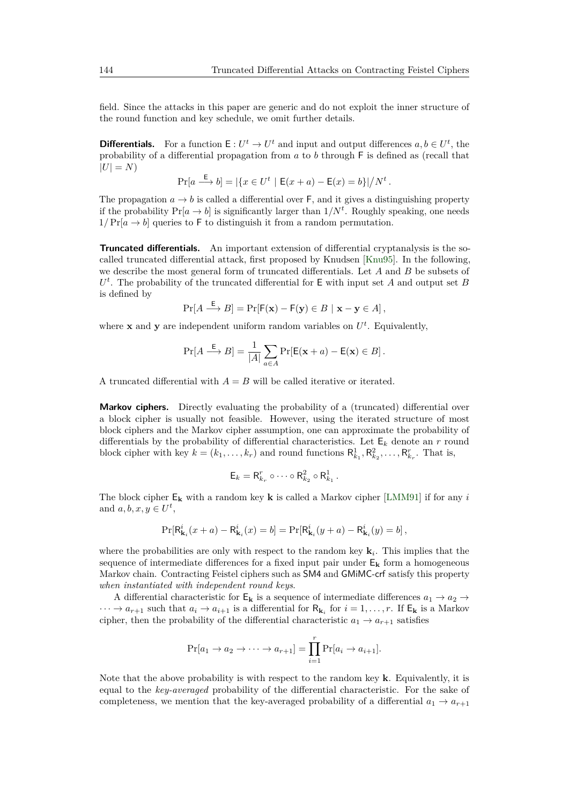field. Since the attacks in this paper are generic and do not exploit the inner structure of the round function and key schedule, we omit further details.

**Differentials.** For a function  $E: U^t \to U^t$  and input and output differences  $a, b \in U^t$ , the probability of a differential propagation from *a* to *b* through F is defined as (recall that  $|U| = N$ 

$$
\Pr[a \xrightarrow{E} b] = |\{x \in U^t \mid E(x+a) - E(x) = b\}|/N^t.
$$

The propagation  $a \to b$  is called a differential over F, and it gives a distinguishing property if the probability  $Pr[a \rightarrow b]$  is significantly larger than  $1/N<sup>t</sup>$ . Roughly speaking, one needs  $1/Pr[a \rightarrow b]$  queries to F to distinguish it from a random permutation.

**Truncated differentials.** An important extension of differential cryptanalysis is the socalled truncated differential attack, first proposed by Knudsen [\[Knu95\]](#page-18-5). In the following, we describe the most general form of truncated differentials. Let *A* and *B* be subsets of  $U^t$ . The probability of the truncated differential for  $E$  with input set *A* and output set *B* is defined by

$$
\Pr[A \stackrel{\mathsf{E}}{\longrightarrow} B] = \Pr[\mathsf{F}(\mathbf{x}) - \mathsf{F}(\mathbf{y}) \in B \mid \mathbf{x} - \mathbf{y} \in A],
$$

where **x** and **y** are independent uniform random variables on  $U^t$ . Equivalently,

$$
\Pr[A \stackrel{\mathsf{E}}{\longrightarrow} B] = \frac{1}{|A|} \sum_{a \in A} \Pr[\mathsf{E}(\mathbf{x} + a) - \mathsf{E}(\mathbf{x}) \in B].
$$

A truncated differential with  $A = B$  will be called iterative or iterated.

**Markov ciphers.** Directly evaluating the probability of a (truncated) differential over a block cipher is usually not feasible. However, using the iterated structure of most block ciphers and the Markov cipher assumption, one can approximate the probability of differentials by the probability of differential characteristics. Let  $E_k$  denote an  $r$  round block cipher with key  $k = (k_1, \ldots, k_r)$  and round functions  $R_{k_1}^1, R_{k_2}^2, \ldots, R_{k_r}^r$ . That is,

$$
\mathsf{E}_k = \mathsf{R}_{k_r}^r \circ \cdots \circ \mathsf{R}_{k_2}^2 \circ \mathsf{R}_{k_1}^1.
$$

The block cipher  $E_k$  with a random key **k** is called a Markov cipher [\[LMM91\]](#page-18-6) if for any *i* and  $a, b, x, y \in U^t$ ,

$$
\Pr[\mathsf{R}_{\mathbf{k}_i}^i(x+a) - \mathsf{R}_{\mathbf{k}_i}^i(x) = b] = \Pr[\mathsf{R}_{\mathbf{k}_i}^i(y+a) - \mathsf{R}_{\mathbf{k}_i}^i(y) = b],
$$

where the probabilities are only with respect to the random key **k***<sup>i</sup>* . This implies that the sequence of intermediate differences for a fixed input pair under  $E_k$  form a homogeneous Markov chain. Contracting Feistel ciphers such as SM4 and GMiMC-crf satisfy this property *when instantiated with independent round keys*.

A differential characteristic for  $E_k$  is a sequence of intermediate differences  $a_1 \rightarrow a_2 \rightarrow a_3$  $\cdots \to a_{r+1}$  such that  $a_i \to a_{i+1}$  is a differential for  $R_{k_i}$  for  $i = 1, \ldots, r$ . If  $E_k$  is a Markov cipher, then the probability of the differential characteristic  $a_1 \rightarrow a_{r+1}$  satisfies

$$
\Pr[a_1 \to a_2 \to \cdots \to a_{r+1}] = \prod_{i=1}^r \Pr[a_i \to a_{i+1}].
$$

Note that the above probability is with respect to the random key **k**. Equivalently, it is equal to the *key-averaged* probability of the differential characteristic. For the sake of completeness, we mention that the key-averaged probability of a differential  $a_1 \rightarrow a_{r+1}$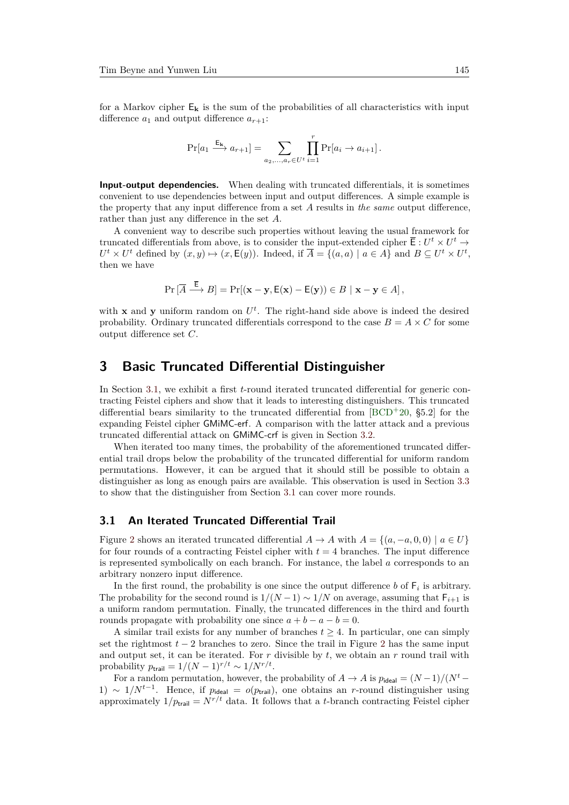for a Markov cipher  $E_k$  is the sum of the probabilities of all characteristics with input difference  $a_1$  and output difference  $a_{r+1}$ :

$$
\Pr[a_1 \xrightarrow{\mathsf{E}_{\mathbf{k}}} a_{r+1}] = \sum_{a_2, \dots, a_r \in U^t} \prod_{i=1}^r \Pr[a_i \to a_{i+1}].
$$

<span id="page-4-2"></span>**Input-output dependencies.** When dealing with truncated differentials, it is sometimes convenient to use dependencies between input and output differences. A simple example is the property that any input difference from a set *A* results in *the same* output difference, rather than just any difference in the set *A*.

A convenient way to describe such properties without leaving the usual framework for truncated differentials from above, is to consider the input-extended cipher  $\overline{\mathsf{E}}: U^t \times U^t \to$  $U^t \times U^t$  defined by  $(x, y) \mapsto (x, \mathsf{E}(y))$ . Indeed, if  $\overline{A} = \{(a, a) \mid a \in A\}$  and  $B \subseteq U^t \times U^t$ , then we have

$$
\Pr\left[\overline{A} \stackrel{\mathsf{E}}{\longrightarrow} B\right] = \Pr\left[\mathbf{x} - \mathbf{y}, \mathsf{E}(\mathbf{x}) - \mathsf{E}(\mathbf{y})\right) \in B \mid \mathbf{x} - \mathbf{y} \in A\right],
$$

with **x** and **y** uniform random on  $U^t$ . The right-hand side above is indeed the desired probability. Ordinary truncated differentials correspond to the case  $B = A \times C$  for some output difference set *C*.

# <span id="page-4-0"></span>**3 Basic Truncated Differential Distinguisher**

In Section [3.1,](#page-4-1) we exhibit a first *t*-round iterated truncated differential for generic contracting Feistel ciphers and show that it leads to interesting distinguishers. This truncated differential bears similarity to the truncated differential from  $[BCD+20, §5.2]$  $[BCD+20, §5.2]$  for the expanding Feistel cipher GMiMC-erf. A comparison with the latter attack and a previous truncated differential attack on GMiMC-crf is given in Section [3.2.](#page-7-0)

When iterated too many times, the probability of the aforementioned truncated differential trail drops below the probability of the truncated differential for uniform random permutations. However, it can be argued that it should still be possible to obtain a distinguisher as long as enough pairs are available. This observation is used in Section [3.3](#page-8-0) to show that the distinguisher from Section [3.1](#page-4-1) can cover more rounds.

#### <span id="page-4-1"></span>**3.1 An Iterated Truncated Differential Trail**

Figure [2](#page-5-0) shows an iterated truncated differential  $A \rightarrow A$  with  $A = \{(a, -a, 0, 0) \mid a \in U\}$ for four rounds of a contracting Feistel cipher with  $t = 4$  branches. The input difference is represented symbolically on each branch. For instance, the label *a* corresponds to an arbitrary nonzero input difference.

In the first round, the probability is one since the output difference  $b$  of  $F_i$  is arbitrary. The probability for the second round is  $1/(N-1) \sim 1/N$  on average, assuming that  $F_{i+1}$  is a uniform random permutation. Finally, the truncated differences in the third and fourth rounds propagate with probability one since  $a + b - a - b = 0$ .

A similar trail exists for any number of branches  $t > 4$ . In particular, one can simply set the rightmost  $t - 2$  $t - 2$  branches to zero. Since the trail in Figure 2 has the same input and output set, it can be iterated. For  $r$  divisible by  $t$ , we obtain an  $r$  round trail with probability  $p_{\text{trail}} = 1/(N-1)^{r/t} \sim 1/N^{r/t}$ .

For a random permutation, however, the probability of  $A \to A$  is  $p_{\text{ideal}} = (N-1)/(N^t -$ 1) ~  $1/N^{t-1}$ . Hence, if  $p_{\text{ideal}} = o(p_{\text{trail}})$ , one obtains an *r*-round distinguisher using approximately  $1/p_{\text{trail}} = N^{r/t}$  data. It follows that a *t*-branch contracting Feistel cipher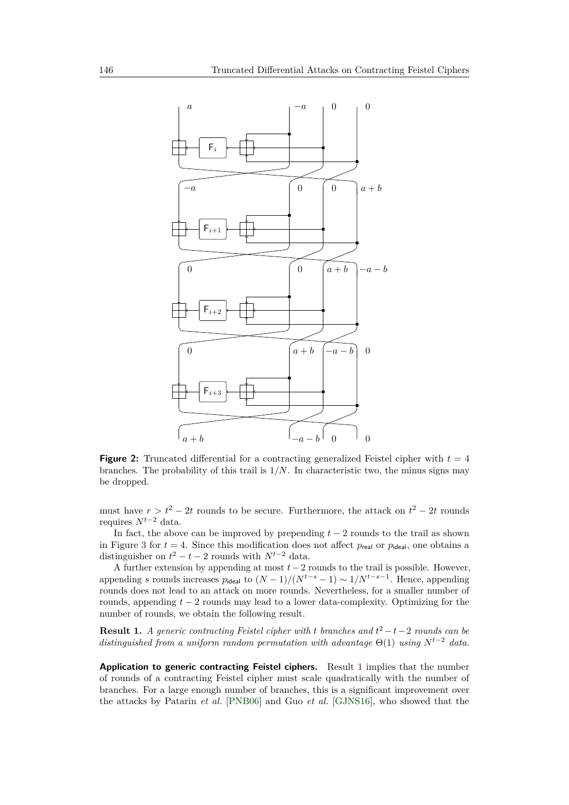<span id="page-5-0"></span>

**Figure 2:** Truncated differential for a contracting generalized Feistel cipher with  $t = 4$ branches. The probability of this trail is  $1/N$ . In characteristic two, the minus signs may be dropped.

must have  $r > t^2 - 2t$  rounds to be secure. Furthermore, the attack on  $t^2 - 2t$  rounds requires *Nt*−<sup>2</sup> data.

In fact, the above can be improved by prepending  $t-2$  rounds to the trail as shown in Figure [3](#page-6-0) for  $t = 4$ . Since this modification does not affect  $p_{\text{real}}$  or  $p_{\text{ideal}}$ , one obtains a distinguisher on  $t^2 - t - 2$  rounds with  $N^{t-2}$  data.

A further extension by appending at most *t*−2 rounds to the trail is possible. However, appending *s* rounds increases  $p_{\text{ideal}}$  to  $(N-1)/(N^{t-s}-1) \sim 1/N^{t-s-1}$ . Hence, appending rounds does not lead to an attack on more rounds. Nevertheless, for a smaller number of rounds, appending *t* − 2 rounds may lead to a lower data-complexity. Optimizing for the number of rounds, we obtain the following result.

<span id="page-5-1"></span>**Result 1.** *A generic contracting Feistel cipher with t branches and*  $t^2 - t - 2$  *rounds can be distinguished from a uniform random permutation with advantage* Θ(1) *using N<sup>t</sup>*−<sup>2</sup> *data.*

**Application to generic contracting Feistel ciphers.** Result [1](#page-5-1) implies that the number of rounds of a contracting Feistel cipher must scale quadratically with the number of branches. For a large enough number of branches, this is a significant improvement over the attacks by Patarin *et al.* [\[PNB06\]](#page-18-3) and Guo *et al.* [\[GJNS16\]](#page-18-2), who showed that the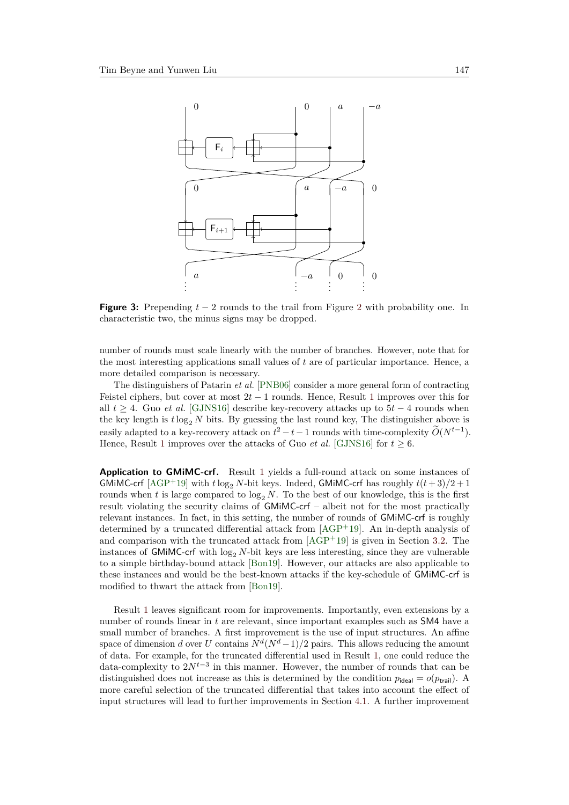<span id="page-6-0"></span>

**Figure 3:** Prepending *t* − 2 rounds to the trail from Figure [2](#page-5-0) with probability one. In characteristic two, the minus signs may be dropped.

number of rounds must scale linearly with the number of branches. However, note that for the most interesting applications small values of *t* are of particular importance. Hence, a more detailed comparison is necessary.

The distinguishers of Patarin *et al.* [\[PNB06\]](#page-18-3) consider a more general form of contracting Feistel ciphers, but cover at most 2*t* − 1 rounds. Hence, Result [1](#page-5-1) improves over this for all  $t \geq 4$ . Guo *et al.* [\[GJNS16\]](#page-18-2) describe key-recovery attacks up to  $5t - 4$  rounds when the key length is  $t \log_2 N$  bits. By guessing the last round key, The distinguisher above is easily adapted to a key-recovery attack on  $t^2 - t - 1$  rounds with time-complexity  $\widetilde{O}(N^{t-1})$ . Hence, Result [1](#page-5-1) improves over the attacks of Guo *et al.* [\[GJNS16\]](#page-18-2) for  $t > 6$ .

**Application to GMiMC-crf.** Result [1](#page-5-1) yields a full-round attack on some instances of GMiMC-crf  $[\text{AGP}^+19]$  with  $t \log_2 N$ -bit keys. Indeed, GMiMC-crf has roughly  $t(t+3)/2+1$ rounds when t is large compared to  $\log_2 N$ . To the best of our knowledge, this is the first result violating the security claims of GMiMC-crf – albeit not for the most practically relevant instances. In fact, in this setting, the number of rounds of GMiMC-crf is roughly determined by a truncated differential attack from  $[AGP^+19]$  $[AGP^+19]$ . An in-depth analysis of and comparison with the truncated attack from  $[AGP^+19]$  $[AGP^+19]$  is given in Section [3.2.](#page-7-0) The instances of GMiMC-crf with  $log_2 N$ -bit keys are less interesting, since they are vulnerable to a simple birthday-bound attack [\[Bon19\]](#page-17-4). However, our attacks are also applicable to these instances and would be the best-known attacks if the key-schedule of GMiMC-crf is modified to thwart the attack from [\[Bon19\]](#page-17-4).

Result [1](#page-5-1) leaves significant room for improvements. Importantly, even extensions by a number of rounds linear in *t* are relevant, since important examples such as SM4 have a small number of branches. A first improvement is the use of input structures. An affine space of dimension *d* over *U* contains  $N<sup>d</sup>(N<sup>d</sup> - 1)/2$  pairs. This allows reducing the amount of data. For example, for the truncated differential used in Result [1,](#page-5-1) one could reduce the data-complexity to 2*N<sup>t</sup>*−<sup>3</sup> in this manner. However, the number of rounds that can be distinguished does not increase as this is determined by the condition  $p_{ideal} = o(p_{trial})$ . A more careful selection of the truncated differential that takes into account the effect of input structures will lead to further improvements in Section [4.1.](#page-9-1) A further improvement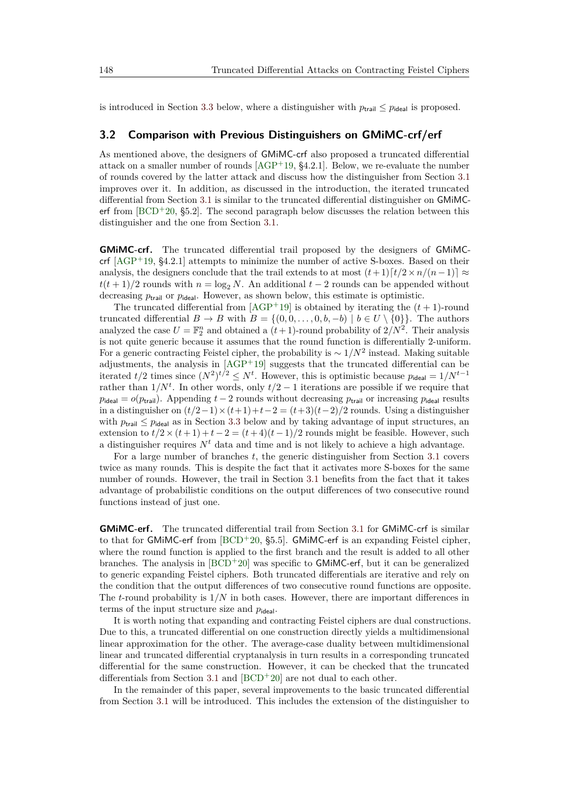is introduced in Section [3.3](#page-8-0) below, where a distinguisher with  $p_{\text{trail}} \leq p_{\text{ideal}}$  is proposed.

#### <span id="page-7-0"></span>**3.2 Comparison with Previous Distinguishers on GMiMC-crf/erf**

As mentioned above, the designers of GMiMC-crf also proposed a truncated differential attack on a smaller number of rounds  $[AGP<sup>+</sup>19, §4.2.1]$  $[AGP<sup>+</sup>19, §4.2.1]$ . Below, we re-evaluate the number of rounds covered by the latter attack and discuss how the distinguisher from Section [3.1](#page-4-1) improves over it. In addition, as discussed in the introduction, the iterated truncated differential from Section [3.1](#page-4-1) is similar to the truncated differential distinguisher on GMiMCerf from  $[BCD+20, §5.2]$  $[BCD+20, §5.2]$ . The second paragraph below discusses the relation between this distinguisher and the one from Section [3.1.](#page-4-1)

**GMiMC-crf.** The truncated differential trail proposed by the designers of GMiMCcrf  $[AGP+19, §4.2.1]$  $[AGP+19, §4.2.1]$  attempts to minimize the number of active S-boxes. Based on their analysis, the designers conclude that the trail extends to at most  $(t+1)[t/2 \times n/(n-1)] \approx$  $t(t+1)/2$  rounds with  $n = \log_2 N$ . An additional  $t-2$  rounds can be appended without decreasing  $p_{\text{trial}}$  or  $p_{\text{ideal}}$ . However, as shown below, this estimate is optimistic.

The truncated differential from  $[AGP^+19]$  $[AGP^+19]$  is obtained by iterating the  $(t + 1)$ -round truncated differential  $B \to B$  with  $B = \{(0, 0, \ldots, 0, b, -b) \mid b \in U \setminus \{0\}\}\.$  The authors analyzed the case  $U = \mathbb{F}_2^n$  and obtained a  $(t+1)$ -round probability of  $2/N^2$ . Their analysis is not quite generic because it assumes that the round function is differentially 2-uniform. For a generic contracting Feistel cipher, the probability is  $\sim 1/N^2$  instead. Making suitable adjustments, the analysis in [\[AGP](#page-17-0)<sup>+</sup>19] suggests that the truncated differential can be iterated  $t/2$  times since  $(N^2)^{t/2} \leq N^t$ . However, this is optimistic because  $p_{\text{ideal}} = 1/N^{t-1}$ rather than  $1/N<sup>t</sup>$ . In other words, only  $t/2-1$  iterations are possible if we require that  $p_{\text{ideal}} = o(p_{\text{trail}})$ . Appending  $t - 2$  rounds without decreasing  $p_{\text{trial}}$  or increasing  $p_{\text{ideal}}$  results in a distinguisher on  $(t/2-1)\times(t+1)+t-2=(t+3)(t-2)/2$  rounds. Using a distinguisher with  $p_{\text{train}} \leq p_{\text{ideal}}$  as in Section [3.3](#page-8-0) below and by taking advantage of input structures, an extension to  $t/2 \times (t+1) + t-2 = (t+4)(t-1)/2$  rounds might be feasible. However, such a distinguisher requires  $N<sup>t</sup>$  data and time and is not likely to achieve a high advantage.

For a large number of branches *t*, the generic distinguisher from Section [3.1](#page-4-1) covers twice as many rounds. This is despite the fact that it activates more S-boxes for the same number of rounds. However, the trail in Section [3.1](#page-4-1) benefits from the fact that it takes advantage of probabilistic conditions on the output differences of two consecutive round functions instead of just one.

**GMiMC-erf.** The truncated differential trail from Section [3.1](#page-4-1) for GMiMC-crf is similar to that for GMiMC-erf from  $[BCD+20, §5.5]$  $[BCD+20, §5.5]$ . GMiMC-erf is an expanding Feistel cipher, where the round function is applied to the first branch and the result is added to all other branches. The analysis in  $[BCD+20]$  $[BCD+20]$  was specific to GMiMC-erf, but it can be generalized to generic expanding Feistel ciphers. Both truncated differentials are iterative and rely on the condition that the output differences of two consecutive round functions are opposite. The *t*-round probability is 1*/N* in both cases. However, there are important differences in terms of the input structure size and  $p_{\text{ideal}}$ .

It is worth noting that expanding and contracting Feistel ciphers are dual constructions. Due to this, a truncated differential on one construction directly yields a multidimensional linear approximation for the other. The average-case duality between multidimensional linear and truncated differential cryptanalysis in turn results in a corresponding truncated differential for the same construction. However, it can be checked that the truncated differentials from Section [3.1](#page-4-1) and  $[BCD+20]$  $[BCD+20]$  are not dual to each other.

In the remainder of this paper, several improvements to the basic truncated differential from Section [3.1](#page-4-1) will be introduced. This includes the extension of the distinguisher to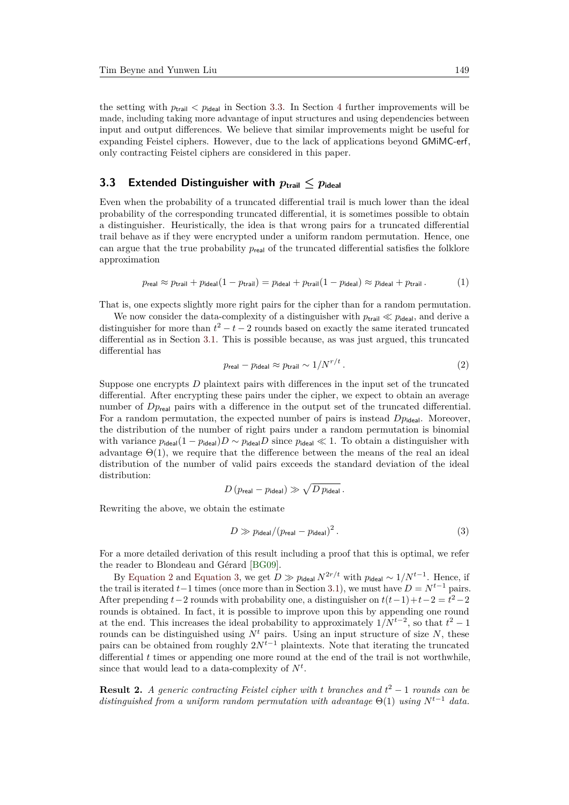the setting with  $p_{\text{trail}} < p_{\text{ideal}}$  in Section [3.3.](#page-8-0) In Section [4](#page-9-0) further improvements will be made, including taking more advantage of input structures and using dependencies between input and output differences. We believe that similar improvements might be useful for expanding Feistel ciphers. However, due to the lack of applications beyond GMiMC-erf, only contracting Feistel ciphers are considered in this paper.

### <span id="page-8-0"></span>**3.3** Extended Distinguisher with  $p_{\text{trail}} \leq p_{\text{ideal}}$

Even when the probability of a truncated differential trail is much lower than the ideal probability of the corresponding truncated differential, it is sometimes possible to obtain a distinguisher. Heuristically, the idea is that wrong pairs for a truncated differential trail behave as if they were encrypted under a uniform random permutation. Hence, one can argue that the true probability  $p_{\text{real}}$  of the truncated differential satisfies the folklore approximation

$$
p_{\text{real}} \approx p_{\text{trail}} + p_{\text{ideal}}(1 - p_{\text{trail}}) = p_{\text{ideal}} + p_{\text{trail}}(1 - p_{\text{ideal}}) \approx p_{\text{ideal}} + p_{\text{trail}}.
$$
 (1)

That is, one expects slightly more right pairs for the cipher than for a random permutation.

We now consider the data-complexity of a distinguisher with  $p_{\text{trail}} \ll p_{\text{ideal}}$ , and derive a distinguisher for more than  $t^2 - t - 2$  rounds based on exactly the same iterated truncated differential as in Section [3.1.](#page-4-1) This is possible because, as was just argued, this truncated differential has

<span id="page-8-1"></span>
$$
p_{\text{real}} - p_{\text{ideal}} \approx p_{\text{trail}} \sim 1/N^{r/t} \,. \tag{2}
$$

Suppose one encrypts *D* plaintext pairs with differences in the input set of the truncated differential. After encrypting these pairs under the cipher, we expect to obtain an average number of  $D_{\text{Preal}}$  pairs with a difference in the output set of the truncated differential. For a random permutation, the expected number of pairs is instead  $D_{p_{\text{ideal}}}$ . Moreover, the distribution of the number of right pairs under a random permutation is binomial with variance  $p_{\text{ideal}}(1 - p_{\text{ideal}})D \sim p_{\text{ideal}}D$  since  $p_{\text{ideal}} \ll 1$ . To obtain a distinguisher with advantage  $\Theta(1)$ , we require that the difference between the means of the real an ideal distribution of the number of valid pairs exceeds the standard deviation of the ideal distribution:

$$
D(p_{\text{real}} - p_{\text{ideal}}) \gg \sqrt{D p_{\text{ideal}}}\,.
$$

Rewriting the above, we obtain the estimate

<span id="page-8-2"></span>
$$
D \gg p_{\text{ideal}}/(p_{\text{real}} - p_{\text{ideal}})^2. \tag{3}
$$

For a more detailed derivation of this result including a proof that this is optimal, we refer the reader to Blondeau and Gérard [\[BG09\]](#page-17-5).

By [Equation 2](#page-8-1) and [Equation 3,](#page-8-2) we get  $D \gg p_{\text{ideal}} N^{2r/t}$  with  $p_{\text{ideal}} \sim 1/N^{t-1}$ . Hence, if the trail is iterated  $t-1$  times (once more than in Section [3.1\)](#page-4-1), we must have  $D = N^{t-1}$  pairs. After prepending  $t-2$  rounds with probability one, a distinguisher on  $t(t-1)+t-2 = t^2-2$ rounds is obtained. In fact, it is possible to improve upon this by appending one round at the end. This increases the ideal probability to approximately  $1/N^{t-2}$ , so that  $t^2 - 1$ rounds can be distinguished using  $N<sup>t</sup>$  pairs. Using an input structure of size  $N$ , these pairs can be obtained from roughly  $2N^{t-1}$  plaintexts. Note that iterating the truncated differential *t* times or appending one more round at the end of the trail is not worthwhile, since that would lead to a data-complexity of  $N^t$ .

<span id="page-8-3"></span>**Result 2.** *A generic contracting Feistel cipher with t branches and t* <sup>2</sup> − 1 *rounds can be distinguished from a uniform random permutation with advantage* Θ(1) *using N<sup>t</sup>*−<sup>1</sup> *data.*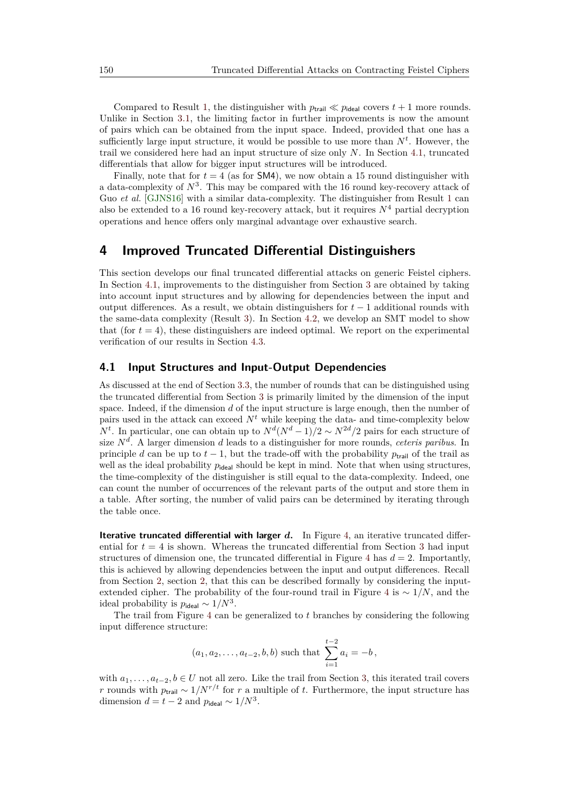Compared to Result [1,](#page-5-1) the distinguisher with  $p_{\text{trail}} \ll p_{\text{ideal}}$  covers  $t + 1$  more rounds. Unlike in Section [3.1,](#page-4-1) the limiting factor in further improvements is now the amount of pairs which can be obtained from the input space. Indeed, provided that one has a sufficiently large input structure, it would be possible to use more than  $N<sup>t</sup>$ . However, the trail we considered here had an input structure of size only *N*. In Section [4.1,](#page-9-1) truncated differentials that allow for bigger input structures will be introduced.

Finally, note that for  $t = 4$  (as for **SM4**), we now obtain a 15 round distinguisher with a data-complexity of  $N^3$ . This may be compared with the 16 round key-recovery attack of Guo *et al.* [\[GJNS16\]](#page-18-2) with a similar data-complexity. The distinguisher from Result [1](#page-5-1) can also be extended to a 16 round key-recovery attack, but it requires  $N^4$  partial decryption operations and hence offers only marginal advantage over exhaustive search.

# <span id="page-9-0"></span>**4 Improved Truncated Differential Distinguishers**

This section develops our final truncated differential attacks on generic Feistel ciphers. In Section [4.1,](#page-9-1) improvements to the distinguisher from Section [3](#page-4-0) are obtained by taking into account input structures and by allowing for dependencies between the input and output differences. As a result, we obtain distinguishers for *t* − 1 additional rounds with the same-data complexity (Result [3\)](#page-11-0). In Section [4.2,](#page-12-0) we develop an SMT model to show that (for  $t = 4$ ), these distinguishers are indeed optimal. We report on the experimental verification of our results in Section [4.3.](#page-13-0)

#### <span id="page-9-1"></span>**4.1 Input Structures and Input-Output Dependencies**

As discussed at the end of Section [3.3,](#page-8-0) the number of rounds that can be distinguished using the truncated differential from Section [3](#page-4-0) is primarily limited by the dimension of the input space. Indeed, if the dimension *d* of the input structure is large enough, then the number of pairs used in the attack can exceed  $N<sup>t</sup>$  while keeping the data- and time-complexity below *N<sup>t</sup>*. In particular, one can obtain up to  $N^d(N^d-1)/2 \sim N^{2d}/2$  pairs for each structure of size *N<sup>d</sup>* . A larger dimension *d* leads to a distinguisher for more rounds, *ceteris paribus*. In principle *d* can be up to  $t - 1$ , but the trade-off with the probability  $p_{\text{trail}}$  of the trail as well as the ideal probability  $p_{\text{ideal}}$  should be kept in mind. Note that when using structures, the time-complexity of the distinguisher is still equal to the data-complexity. Indeed, one can count the number of occurrences of the relevant parts of the output and store them in a table. After sorting, the number of valid pairs can be determined by iterating through the table once.

**Iterative truncated differential with larger** *d***.** In Figure [4,](#page-10-0) an iterative truncated differential for  $t = 4$  is shown. Whereas the truncated differential from Section [3](#page-4-0) had input structures of dimension one, the truncated differential in Figure [4](#page-10-0) has  $d = 2$ . Importantly, this is achieved by allowing dependencies between the input and output differences. Recall from Section [2,](#page-2-0) section [2,](#page-4-2) that this can be described formally by considering the inputextended cipher. The probability of the four-round trail in Figure [4](#page-10-0) is ∼ 1*/N*, and the ideal probability is  $p_{\text{ideal}} \sim 1/N^3$ .

The trail from Figure [4](#page-10-0) can be generalized to *t* branches by considering the following input difference structure:

$$
(a_1, a_2,..., a_{t-2}, b, b)
$$
 such that  $\sum_{i=1}^{t-2} a_i = -b$ ,

with  $a_1, \ldots, a_{t-2}, b \in U$  not all zero. Like the trail from Section [3,](#page-4-0) this iterated trail covers *r* rounds with  $p_{\text{trail}} \sim 1/N^{r/t}$  for *r* a multiple of *t*. Furthermore, the input structure has dimension  $d = t - 2$  and  $p_{\text{ideal}} \sim 1/N^3$ .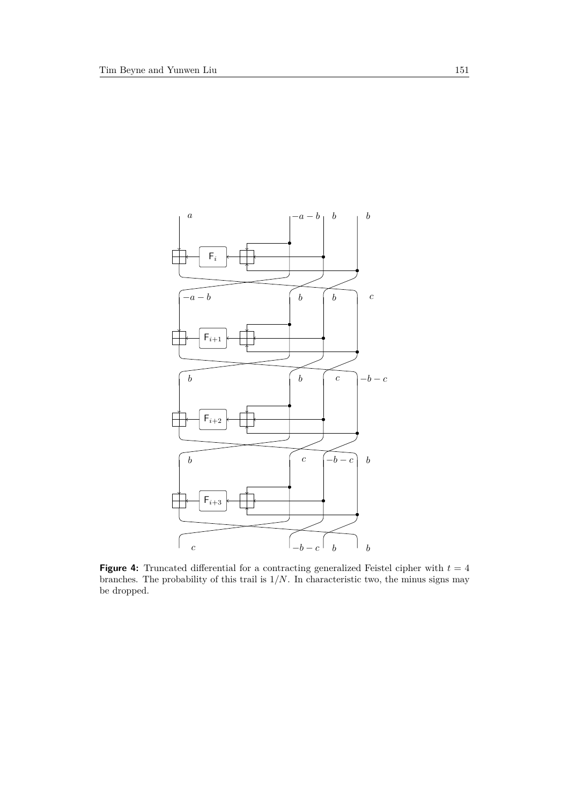<span id="page-10-0"></span>

**Figure 4:** Truncated differential for a contracting generalized Feistel cipher with  $t = 4$ branches. The probability of this trail is 1*/N*. In characteristic two, the minus signs may be dropped.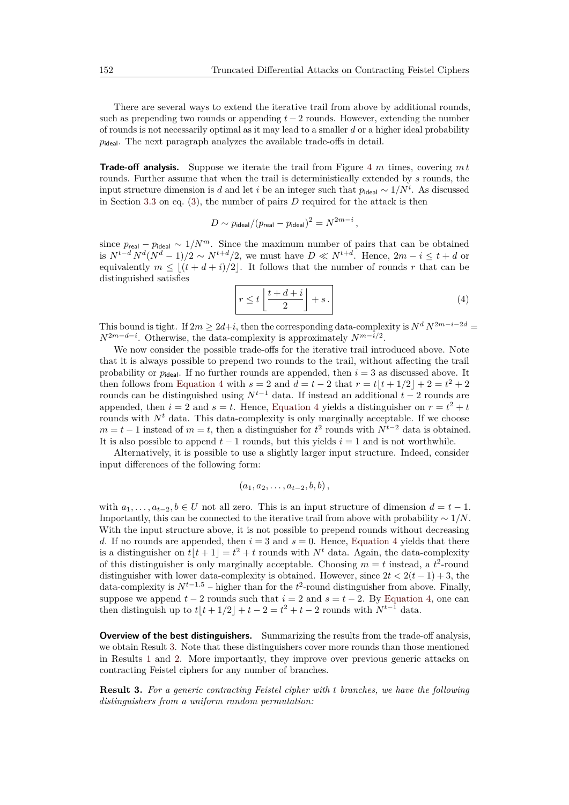There are several ways to extend the iterative trail from above by additional rounds, such as prepending two rounds or appending *t* − 2 rounds. However, extending the number of rounds is not necessarily optimal as it may lead to a smaller *d* or a higher ideal probability  $p_{ideal}$ . The next paragraph analyzes the available trade-offs in detail.

**Trade-off analysis.** Suppose we iterate the trail from Figure [4](#page-10-0) *m* times, covering *m t* rounds. Further assume that when the trail is deterministically extended by *s* rounds, the input structure dimension is *d* and let *i* be an integer such that  $p_{\text{ideal}} \sim 1/N^i$ . As discussed in Section [3.3](#page-8-0) on eq. [\(3\)](#page-8-2), the number of pairs *D* required for the attack is then

$$
D \sim p_{\text{ideal}}/(p_{\text{real}} - p_{\text{ideal}})^2 = N^{2m-i} \,,
$$

since  $p_{\text{real}} - p_{\text{ideal}} \sim 1/N^m$ . Since the maximum number of pairs that can be obtained is  $N^{t-d} N^d (N^d - 1)/2 \sim N^{t+d}/2$ , we must have  $D \ll N^{t+d}$ . Hence,  $2m - i \leq t + d$  or equivalently  $m \leq (t + d + i)/2$ . It follows that the number of rounds *r* that can be distinguished satisfies

<span id="page-11-1"></span>
$$
r \le t \left\lfloor \frac{t+d+i}{2} \right\rfloor + s \,. \tag{4}
$$

This bound is tight. If  $2m \geq 2d+i$ , then the corresponding data-complexity is  $N^d N^{2m-i-2d}$ *N*<sup>2*m*−*d*−*i*</sub>. Otherwise, the data-complexity is approximately  $N^{m-i/2}$ .</sup>

We now consider the possible trade-offs for the iterative trail introduced above. Note that it is always possible to prepend two rounds to the trail, without affecting the trail probability or  $p_{ideal}$ . If no further rounds are appended, then  $i = 3$  as discussed above. It then follows from [Equation 4](#page-11-1) with  $s = 2$  and  $d = t - 2$  that  $r = t\lfloor t + 1/2 \rfloor + 2 = t^2 + 2$ rounds can be distinguished using  $N^{t-1}$  data. If instead an additional  $t-2$  rounds are appended, then  $i = 2$  and  $s = t$ . Hence, [Equation 4](#page-11-1) yields a distinguisher on  $r = t^2 + t$ rounds with  $N<sup>t</sup>$  data. This data-complexity is only marginally acceptable. If we choose  $m = t - 1$  instead of  $m = t$ , then a distinguisher for  $t^2$  rounds with  $N^{t-2}$  data is obtained. It is also possible to append  $t-1$  rounds, but this yields  $i=1$  and is not worthwhile.

Alternatively, it is possible to use a slightly larger input structure. Indeed, consider input differences of the following form:

$$
(a_1, a_2, \ldots, a_{t-2}, b, b),
$$

with  $a_1, \ldots, a_{t-2}, b \in U$  not all zero. This is an input structure of dimension  $d = t - 1$ . Importantly, this can be connected to the iterative trail from above with probability ∼ 1*/N*. With the input structure above, it is not possible to prepend rounds without decreasing *d*. If no rounds are appended, then  $i = 3$  and  $s = 0$ . Hence, [Equation 4](#page-11-1) yields that there is a distinguisher on  $t[t+1] = t^2 + t$  rounds with  $N^t$  data. Again, the data-complexity of this distinguisher is only marginally acceptable. Choosing  $m = t$  instead, a  $t^2$ -round distinguisher with lower data-complexity is obtained. However, since  $2t < 2(t-1) + 3$ , the data-complexity is  $N^{t-1.5}$  – higher than for the  $t^2$ -round distinguisher from above. Finally, suppose we append  $t - 2$  rounds such that  $i = 2$  and  $s = t - 2$ . By [Equation 4,](#page-11-1) one can then distinguish up to  $t|t + 1/2| + t - 2 = t^2 + t - 2$  rounds with  $N^{t-1}$  data.

**Overview of the best distinguishers.** Summarizing the results from the trade-off analysis, we obtain Result [3.](#page-11-0) Note that these distinguishers cover more rounds than those mentioned in Results [1](#page-5-1) and [2.](#page-8-3) More importantly, they improve over previous generic attacks on contracting Feistel ciphers for any number of branches.

<span id="page-11-0"></span>**Result 3.** *For a generic contracting Feistel cipher with t branches, we have the following distinguishers from a uniform random permutation:*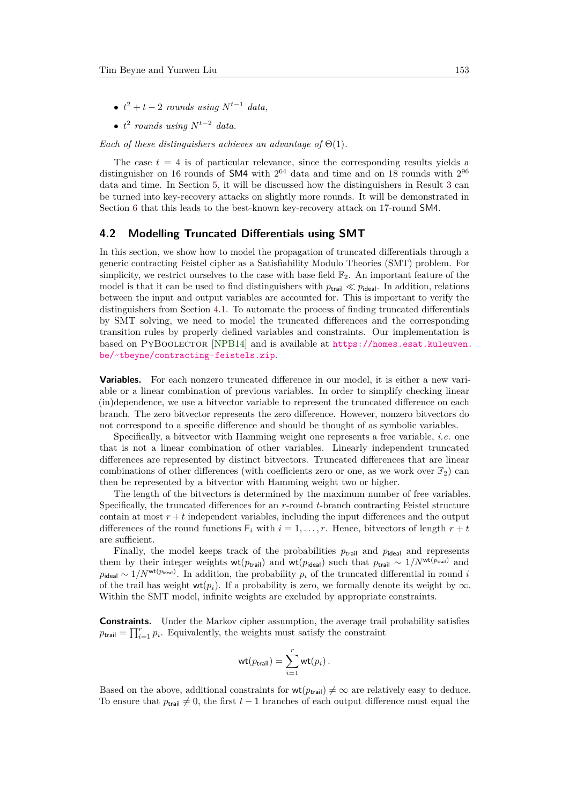- $\bullet$   $t^2 + t 2$  *rounds* using  $N^{t-1}$  *data,*
- *t* 2 *rounds using Nt*−<sup>2</sup> *data.*

*Each of these distinguishers achieves an advantage of* Θ(1)*.*

The case  $t = 4$  is of particular relevance, since the corresponding results yields a distinguisher on 16 rounds of SM4 with  $2^{64}$  data and time and on 18 rounds with  $2^{96}$ data and time. In Section [5,](#page-14-0) it will be discussed how the distinguishers in Result [3](#page-11-0) can be turned into key-recovery attacks on slightly more rounds. It will be demonstrated in Section [6](#page-15-0) that this leads to the best-known key-recovery attack on 17-round SM4.

#### <span id="page-12-0"></span>**4.2 Modelling Truncated Differentials using SMT**

In this section, we show how to model the propagation of truncated differentials through a generic contracting Feistel cipher as a Satisfiability Modulo Theories (SMT) problem. For simplicity, we restrict ourselves to the case with base field  $\mathbb{F}_2$ . An important feature of the model is that it can be used to find distinguishers with  $p_{\text{trial}} \ll p_{\text{ideal}}$ . In addition, relations between the input and output variables are accounted for. This is important to verify the distinguishers from Section [4.1.](#page-9-1) To automate the process of finding truncated differentials by SMT solving, we need to model the truncated differences and the corresponding transition rules by properly defined variables and constraints. Our implementation is based on PYBOOLECTOR [\[NPB14\]](#page-18-7) and is available at [https://homes.esat.kuleuven.](https://homes.esat.kuleuven.be/~tbeyne/contracting-feistels.zip) [be/~tbeyne/contracting-feistels.zip](https://homes.esat.kuleuven.be/~tbeyne/contracting-feistels.zip).

**Variables.** For each nonzero truncated difference in our model, it is either a new variable or a linear combination of previous variables. In order to simplify checking linear (in)dependence, we use a bitvector variable to represent the truncated difference on each branch. The zero bitvector represents the zero difference. However, nonzero bitvectors do not correspond to a specific difference and should be thought of as symbolic variables.

Specifically, a bitvector with Hamming weight one represents a free variable, *i.e.* one that is not a linear combination of other variables. Linearly independent truncated differences are represented by distinct bitvectors. Truncated differences that are linear combinations of other differences (with coefficients zero or one, as we work over  $\mathbb{F}_2$ ) can then be represented by a bitvector with Hamming weight two or higher.

The length of the bitvectors is determined by the maximum number of free variables. Specifically, the truncated differences for an *r*-round *t*-branch contracting Feistel structure contain at most  $r + t$  independent variables, including the input differences and the output differences of the round functions  $F_i$  with  $i = 1, \ldots, r$ . Hence, bitvectors of length  $r + t$ are sufficient.

Finally, the model keeps track of the probabilities  $p_{\text{trail}}$  and  $p_{\text{ideal}}$  and represents them by their integer weights wt( $p_{\text{trail}}$ ) and wt( $p_{\text{ideal}}$ ) such that  $p_{\text{trail}} \sim 1/N^{\text{wt}(p_{\text{trail}})}$  and  $p_{\text{ideal}} \sim 1/N^{\text{wt}(p_{\text{ideal}})}$ . In addition, the probability  $p_i$  of the truncated differential in round *i* of the trail has weight wt $(p_i)$ . If a probability is zero, we formally denote its weight by  $\infty$ . Within the SMT model, infinite weights are excluded by appropriate constraints.

**Constraints.** Under the Markov cipher assumption, the average trail probability satisfies  $p_{\text{trail}} = \prod_{i=1}^{r} p_i$ . Equivalently, the weights must satisfy the constraint

$$
\mathrm{wt}(p_{\mathrm{trail}}) = \sum_{i=1}^r \mathrm{wt}(p_i) .
$$

Based on the above, additional constraints for  $\mathsf{wt}(p_{\mathsf{trail}}) \neq \infty$  are relatively easy to deduce. To ensure that  $p_{\text{trail}} \neq 0$ , the first  $t-1$  branches of each output difference must equal the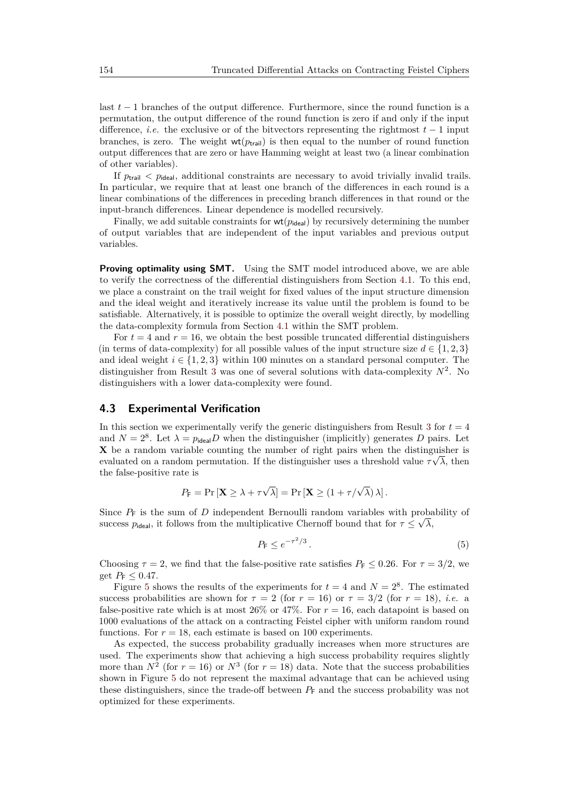last *t* − 1 branches of the output difference. Furthermore, since the round function is a permutation, the output difference of the round function is zero if and only if the input difference, *i.e.* the exclusive or of the bitvectors representing the rightmost *t* − 1 input branches, is zero. The weight  $wt(p_{\text{trail}})$  is then equal to the number of round function output differences that are zero or have Hamming weight at least two (a linear combination of other variables).

If  $p_{\text{trial}} < p_{\text{ideal}}$ , additional constraints are necessary to avoid trivially invalid trails. In particular, we require that at least one branch of the differences in each round is a linear combinations of the differences in preceding branch differences in that round or the input-branch differences. Linear dependence is modelled recursively.

Finally, we add suitable constraints for  $wt(p_{ideal})$  by recursively determining the number of output variables that are independent of the input variables and previous output variables.

**Proving optimality using SMT.** Using the SMT model introduced above, we are able to verify the correctness of the differential distinguishers from Section [4.1.](#page-9-1) To this end, we place a constraint on the trail weight for fixed values of the input structure dimension and the ideal weight and iteratively increase its value until the problem is found to be satisfiable. Alternatively, it is possible to optimize the overall weight directly, by modelling the data-complexity formula from Section [4.1](#page-9-1) within the SMT problem.

For  $t = 4$  and  $r = 16$ , we obtain the best possible truncated differential distinguishers (in terms of data-complexity) for all possible values of the input structure size  $d \in \{1, 2, 3\}$ and ideal weight  $i \in \{1, 2, 3\}$  within 100 minutes on a standard personal computer. The distinguisher from Result [3](#page-11-0) was one of several solutions with data-complexity  $N^2$ . No distinguishers with a lower data-complexity were found.

#### <span id="page-13-0"></span>**4.3 Experimental Verification**

In this section we experimentally verify the generic distinguishers from Result [3](#page-11-0) for  $t = 4$ and  $N = 2^8$ . Let  $\lambda = p_{\text{ideal}}D$  when the distinguisher (implicitly) generates D pairs. Let  $\bf{X}$  be a random variable counting the number of right pairs when the distinguisher is evaluated on a random permutation. If the distinguisher uses a threshold value  $\tau \sqrt{\lambda}$ , then the false-positive rate is

$$
P_{\mathsf{F}} = \Pr\left[\mathbf{X} \ge \lambda + \tau \sqrt{\lambda}\right] = \Pr\left[\mathbf{X} \ge (1 + \tau/\sqrt{\lambda})\lambda\right].
$$

Since  $P_F$  is the sum of *D* independent Bernoulli random variables with probability of success  $p_{\text{ideal}}$ , it follows from the multiplicative Chernoff bound that for  $\tau \leq \sqrt{\lambda}$ ,

<span id="page-13-1"></span>
$$
P_{\mathsf{F}} \le e^{-\tau^2/3} \,. \tag{5}
$$

Choosing  $\tau = 2$ , we find that the false-positive rate satisfies  $P_F \le 0.26$ . For  $\tau = 3/2$ , we get  $P_F \leq 0.47$ .

Figure [5](#page-14-1) shows the results of the experiments for  $t = 4$  and  $N = 2<sup>8</sup>$ . The estimated success probabilities are shown for  $\tau = 2$  (for  $r = 16$ ) or  $\tau = 3/2$  (for  $r = 18$ ), *i.e.* a false-positive rate which is at most 26% or 47%. For  $r = 16$ , each datapoint is based on 1000 evaluations of the attack on a contracting Feistel cipher with uniform random round functions. For  $r = 18$ , each estimate is based on 100 experiments.

As expected, the success probability gradually increases when more structures are used. The experiments show that achieving a high success probability requires slightly more than  $N^2$  (for  $r = 16$ ) or  $N^3$  (for  $r = 18$ ) data. Note that the success probabilities shown in Figure [5](#page-14-1) do not represent the maximal advantage that can be achieved using these distinguishers, since the trade-off between  $P_F$  and the success probability was not optimized for these experiments.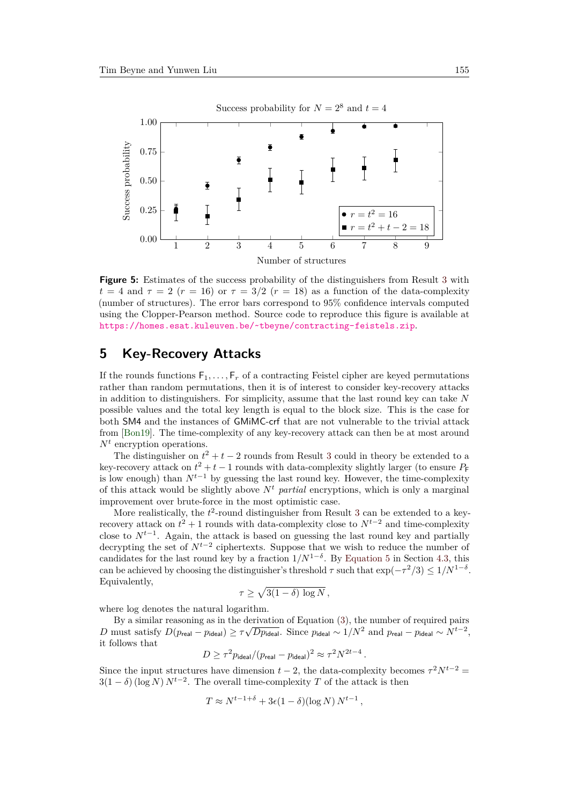<span id="page-14-1"></span>

**Figure 5:** Estimates of the success probability of the distinguishers from Result [3](#page-11-0) with  $t = 4$  and  $\tau = 2$  ( $r = 16$ ) or  $\tau = 3/2$  ( $r = 18$ ) as a function of the data-complexity (number of structures). The error bars correspond to 95% confidence intervals computed using the Clopper-Pearson method. Source code to reproduce this figure is available at <https://homes.esat.kuleuven.be/~tbeyne/contracting-feistels.zip>.

# <span id="page-14-0"></span>**5 Key-Recovery Attacks**

If the rounds functions  $F_1, \ldots, F_r$  of a contracting Feistel cipher are keyed permutations rather than random permutations, then it is of interest to consider key-recovery attacks in addition to distinguishers. For simplicity, assume that the last round key can take *N* possible values and the total key length is equal to the block size. This is the case for both SM4 and the instances of GMiMC-crf that are not vulnerable to the trivial attack from [\[Bon19\]](#page-17-4). The time-complexity of any key-recovery attack can then be at most around *N<sup>t</sup>* encryption operations.

The distinguisher on  $t^2 + t - 2$  rounds from Result [3](#page-11-0) could in theory be extended to a key-recovery attack on  $t^2 + t - 1$  rounds with data-complexity slightly larger (to ensure  $P_F$ is low enough) than  $N^{t-1}$  by guessing the last round key. However, the time-complexity of this attack would be slightly above  $N<sup>t</sup>$  *partial* encryptions, which is only a marginal improvement over brute-force in the most optimistic case.

More realistically, the  $t^2$ -round distinguisher from Result [3](#page-11-0) can be extended to a keyrecovery attack on  $t^2 + 1$  rounds with data-complexity close to  $N^{t-2}$  and time-complexity close to  $N^{t-1}$ . Again, the attack is based on guessing the last round key and partially decrypting the set of *Nt*−<sup>2</sup> ciphertexts. Suppose that we wish to reduce the number of candidates for the last round key by a fraction  $1/N^{1-\delta}$ . By [Equation 5](#page-13-1) in Section [4.3,](#page-13-0) this can be achieved by choosing the distinguisher's threshold  $\tau$  such that  $\exp(-\tau^2/3) \leq 1/N^{1-\delta}$ . Equivalently,

$$
\tau \geq \sqrt{3(1-\delta)\,\log N},
$$

where log denotes the natural logarithm.

By a similar reasoning as in the derivation of Equation [\(3\)](#page-8-2), the number of required pairs<br> $\sqrt{t}$ *D* must satisfy  $D(p_{\mathsf{real}} - p_{\mathsf{ideal}}) \ge \tau \sqrt{D p_{\mathsf{ideal}}}$ . Since  $p_{\mathsf{ideal}} \sim 1/N^2$  and  $p_{\mathsf{real}} - p_{\mathsf{ideal}} \sim N^{t-2}$ , it follows that

$$
D \ge \tau^2 p_{\text{ideal}} / (p_{\text{real}} - p_{\text{ideal}})^2 \approx \tau^2 N^{2t-4} \,.
$$

Since the input structures have dimension  $t - 2$ , the data-complexity becomes  $\tau^2 N^{t-2} =$  $3(1 - \delta)$  (log *N*)  $N^{t-2}$ . The overall time-complexity *T* of the attack is then

$$
T \approx N^{t-1+\delta} + 3\epsilon (1-\delta)(\log N) N^{t-1},
$$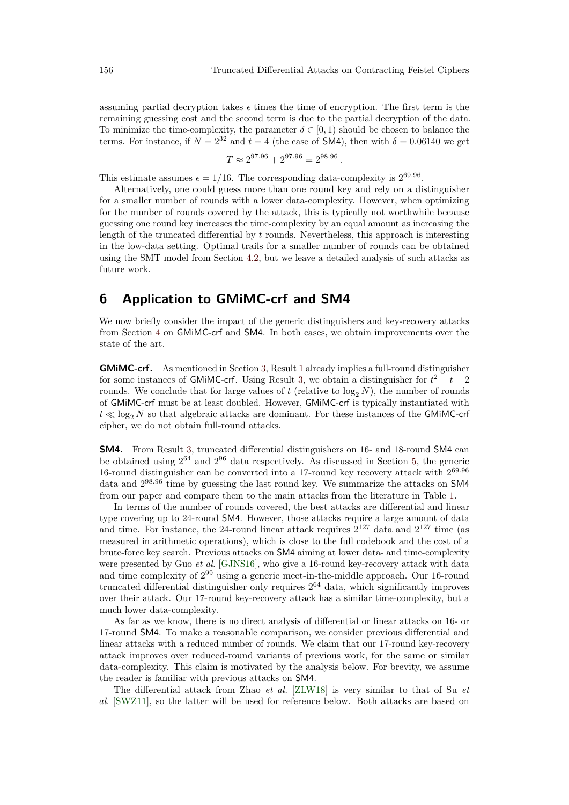*.*

assuming partial decryption takes  $\epsilon$  times the time of encryption. The first term is the remaining guessing cost and the second term is due to the partial decryption of the data. To minimize the time-complexity, the parameter  $\delta \in [0, 1)$  should be chosen to balance the terms. For instance, if  $N = 2^{32}$  and  $t = 4$  (the case of SM4), then with  $\delta = 0.06140$  we get

$$
T \approx 2^{97.96} + 2^{97.96} = 2^{98.96}
$$

This estimate assumes  $\epsilon = 1/16$ . The corresponding data-complexity is  $2^{69.96}$ .

Alternatively, one could guess more than one round key and rely on a distinguisher for a smaller number of rounds with a lower data-complexity. However, when optimizing for the number of rounds covered by the attack, this is typically not worthwhile because guessing one round key increases the time-complexity by an equal amount as increasing the length of the truncated differential by *t* rounds. Nevertheless, this approach is interesting in the low-data setting. Optimal trails for a smaller number of rounds can be obtained using the SMT model from Section [4.2,](#page-12-0) but we leave a detailed analysis of such attacks as future work.

# <span id="page-15-0"></span>**6 Application to GMiMC-crf and SM4**

We now briefly consider the impact of the generic distinguishers and key-recovery attacks from Section [4](#page-9-0) on GMiMC-crf and SM4. In both cases, we obtain improvements over the state of the art.

**GMiMC-crf.** As mentioned in Section [3,](#page-4-0) Result [1](#page-5-1) already implies a full-round distinguisher for some instances of GMIMC-crf. Using Result [3,](#page-11-0) we obtain a distinguisher for  $t^2 + t - 2$ rounds. We conclude that for large values of  $t$  (relative to  $\log_2 N$ ), the number of rounds of GMiMC-crf must be at least doubled. However, GMiMC-crf is typically instantiated with  $t \ll \log_2 N$  so that algebraic attacks are dominant. For these instances of the GMIMC-crf cipher, we do not obtain full-round attacks.

**SM4.** From Result [3,](#page-11-0) truncated differential distinguishers on 16- and 18-round SM4 can be obtained using  $2^{64}$  and  $2^{96}$  data respectively. As discussed in Section [5,](#page-14-0) the generic 16-round distinguisher can be converted into a 17-round key recovery attack with 2 69*.*96 data and 2 <sup>98</sup>*.*<sup>96</sup> time by guessing the last round key. We summarize the attacks on SM4 from our paper and compare them to the main attacks from the literature in Table [1.](#page-16-0)

In terms of the number of rounds covered, the best attacks are differential and linear type covering up to 24-round SM4. However, those attacks require a large amount of data and time. For instance, the 24-round linear attack requires  $2^{127}$  data and  $2^{127}$  time (as measured in arithmetic operations), which is close to the full codebook and the cost of a brute-force key search. Previous attacks on SM4 aiming at lower data- and time-complexity were presented by Guo *et al.* [\[GJNS16\]](#page-18-2), who give a 16-round key-recovery attack with data and time complexity of  $2^{99}$  using a generic meet-in-the-middle approach. Our 16-round truncated differential distinguisher only requires 2 <sup>64</sup> data, which significantly improves over their attack. Our 17-round key-recovery attack has a similar time-complexity, but a much lower data-complexity.

As far as we know, there is no direct analysis of differential or linear attacks on 16- or 17-round SM4. To make a reasonable comparison, we consider previous differential and linear attacks with a reduced number of rounds. We claim that our 17-round key-recovery attack improves over reduced-round variants of previous work, for the same or similar data-complexity. This claim is motivated by the analysis below. For brevity, we assume the reader is familiar with previous attacks on SM4.

The differential attack from Zhao *et al.* [\[ZLW18\]](#page-19-3) is very similar to that of Su *et al.* [\[SWZ11\]](#page-19-4), so the latter will be used for reference below. Both attacks are based on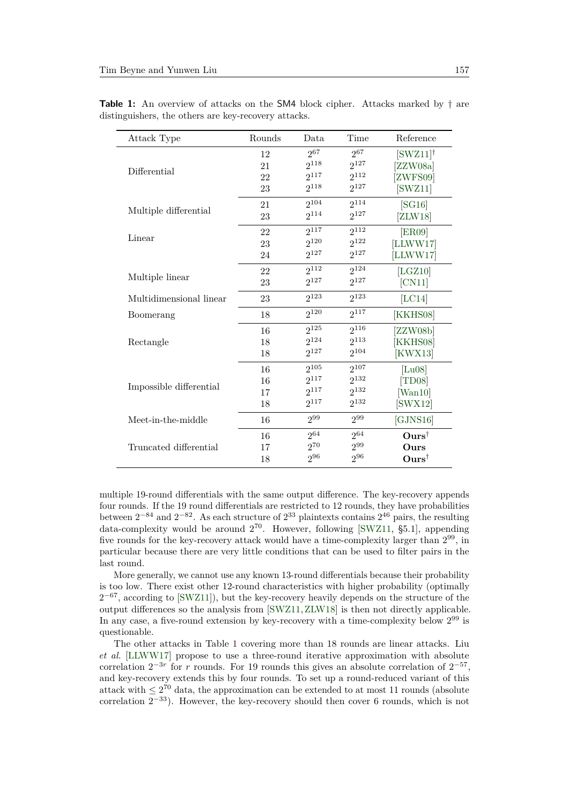$\overline{a}$ 

| Attack Type             | Rounds | Data      | Time      | Reference                             |
|-------------------------|--------|-----------|-----------|---------------------------------------|
| Differential            | 12     | $2^{67}$  | $2^{67}$  | $\left[\text{SWZ}11\right]^{\dagger}$ |
|                         | 21     | $2^{118}$ | $2^{127}$ | [ZZW08a]                              |
|                         | 22     | $2^{117}$ | $2^{112}$ | [ZWFS09]                              |
| Multiple differential   | 23     | $2^{118}$ | $2^{127}$ | [SWZ11]                               |
|                         | 21     | $2^{104}$ | $2^{114}$ | [SG16]                                |
|                         | 23     | $2^{114}$ | $2^{127}$ | [ZLW18]                               |
| Linear                  | 22     | $2^{117}$ | 2112      | <b>ER09</b>                           |
|                         | 23     | $2^{120}$ | $2^{122}$ | [LLWW17]                              |
|                         | 24     | $2^{127}$ | $2^{127}$ | [LLWW17]                              |
| Multiple linear         | 22     | $2^{112}$ | $2^{124}$ | [LGZ10]                               |
|                         | 23     | $2^{127}$ | $2^{127}$ | [CN11]                                |
| Multidimensional linear | 23     | $2^{123}$ | $2^{123}$ | [LC14]                                |
| Boomerang               | 18     | $2^{120}$ | $2^{117}$ | [KKHS08]                              |
| Rectangle               | 16     | $2^{125}$ | $2^{116}$ | [ZZW08b]                              |
|                         | 18     | $2^{124}$ | 2113      | KKHS08                                |
|                         | 18     | $2^{127}$ | $2^{104}$ | [KWX13]                               |
| Impossible differential | 16     | $2^{105}$ | $2^{107}$ | [Lu08]                                |
|                         | 16     | $2^{117}$ | $2^{132}$ | [TD08]                                |
|                         | 17     | $2^{117}$ | $2^{132}$ | [Wan 10]                              |
|                         | 18     | $2^{117}$ | $2^{132}$ | SWX12                                 |
| Meet-in-the-middle      | 16     | $2^{99}$  | $2^{99}$  | [GJNS16]                              |
| Truncated differential  | 16     | $2^{64}$  | $2^{64}$  | $\text{Ours}^{\dagger}$               |
|                         | 17     | 270       | 299       | Ours                                  |
|                         | 18     | $2^{96}$  | $2^{96}$  | $\text{Ours}^{\dagger}$               |

<span id="page-16-0"></span>**Table 1:** An overview of attacks on the SM4 block cipher. Attacks marked by  $\dagger$  are distinguishers, the others are key-recovery attacks.

multiple 19-round differentials with the same output difference. The key-recovery appends four rounds. If the 19 round differentials are restricted to 12 rounds, they have probabilities between  $2^{-84}$  and  $2^{-82}$ . As each structure of  $2^{33}$  plaintexts contains  $2^{46}$  pairs, the resulting data-complexity would be around  $2^{70}$ . However, following [\[SWZ11,](#page-19-4) §5.1], appending five rounds for the key-recovery attack would have a time-complexity larger than  $2^{99}$ , in particular because there are very little conditions that can be used to filter pairs in the last round.

More generally, we cannot use any known 13-round differentials because their probability is too low. There exist other 12-round characteristics with higher probability (optimally  $2^{-67}$ , according to [\[SWZ11\]](#page-19-4)), but the key-recovery heavily depends on the structure of the output differences so the analysis from [\[SWZ11,](#page-19-4)[ZLW18\]](#page-19-3) is then not directly applicable. In any case, a five-round extension by key-recovery with a time-complexity below  $2^{99}$  is questionable.

The other attacks in Table [1](#page-16-0) covering more than 18 rounds are linear attacks. Liu *et al.* [\[LLWW17\]](#page-18-8) propose to use a three-round iterative approximation with absolute correlation  $2^{-3r}$  for *r* rounds. For 19 rounds this gives an absolute correlation of  $2^{-57}$ , and key-recovery extends this by four rounds. To set up a round-reduced variant of this attack with  $\leq 2^{70}$  data, the approximation can be extended to at most 11 rounds (absolute correlation  $2^{-33}$ ). However, the key-recovery should then cover 6 rounds, which is not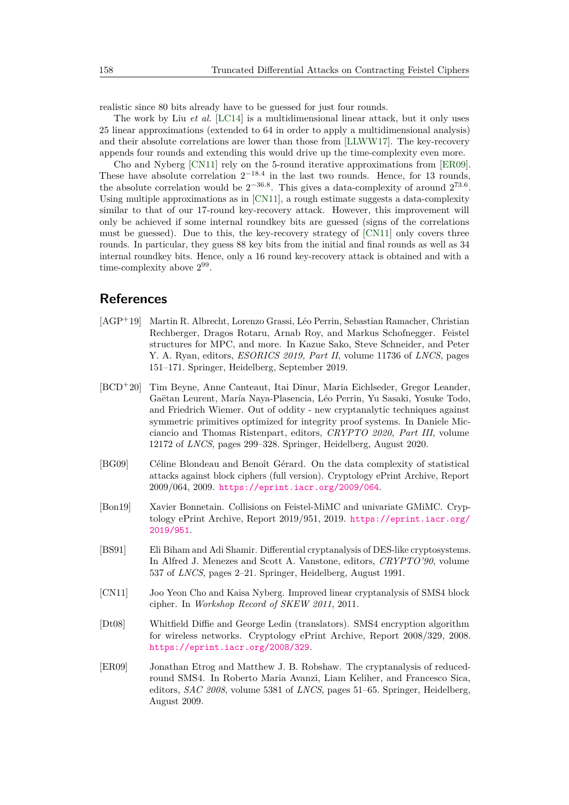realistic since 80 bits already have to be guessed for just four rounds.

The work by Liu *et al.* [\[LC14\]](#page-18-10) is a multidimensional linear attack, but it only uses 25 linear approximations (extended to 64 in order to apply a multidimensional analysis) and their absolute correlations are lower than those from [\[LLWW17\]](#page-18-8). The key-recovery appends four rounds and extending this would drive up the time-complexity even more.

Cho and Nyberg [\[CN11\]](#page-17-7) rely on the 5-round iterative approximations from [\[ER09\]](#page-17-6). These have absolute correlation  $2^{-18.4}$  in the last two rounds. Hence, for 13 rounds, the absolute correlation would be  $2^{-36.8}$ . This gives a data-complexity of around  $2^{73.6}$ . Using multiple approximations as in [\[CN11\]](#page-17-7), a rough estimate suggests a data-complexity similar to that of our 17-round key-recovery attack. However, this improvement will only be achieved if some internal roundkey bits are guessed (signs of the correlations must be guessed). Due to this, the key-recovery strategy of [\[CN11\]](#page-17-7) only covers three rounds. In particular, they guess 88 key bits from the initial and final rounds as well as 34 internal roundkey bits. Hence, only a 16 round key-recovery attack is obtained and with a time-complexity above  $2^{99}$ .

# **References**

- <span id="page-17-0"></span>[AGP<sup>+</sup>19] Martin R. Albrecht, Lorenzo Grassi, Léo Perrin, Sebastian Ramacher, Christian Rechberger, Dragos Rotaru, Arnab Roy, and Markus Schofnegger. Feistel structures for MPC, and more. In Kazue Sako, Steve Schneider, and Peter Y. A. Ryan, editors, *ESORICS 2019, Part II*, volume 11736 of *LNCS*, pages 151–171. Springer, Heidelberg, September 2019.
- <span id="page-17-3"></span>[BCD<sup>+</sup>20] Tim Beyne, Anne Canteaut, Itai Dinur, Maria Eichlseder, Gregor Leander, Gaëtan Leurent, María Naya-Plasencia, Léo Perrin, Yu Sasaki, Yosuke Todo, and Friedrich Wiemer. Out of oddity - new cryptanalytic techniques against symmetric primitives optimized for integrity proof systems. In Daniele Micciancio and Thomas Ristenpart, editors, *CRYPTO 2020, Part III*, volume 12172 of *LNCS*, pages 299–328. Springer, Heidelberg, August 2020.
- <span id="page-17-5"></span>[BG09] Céline Blondeau and Benoît Gérard. On the data complexity of statistical attacks against block ciphers (full version). Cryptology ePrint Archive, Report 2009/064, 2009. <https://eprint.iacr.org/2009/064>.
- <span id="page-17-4"></span>[Bon19] Xavier Bonnetain. Collisions on Feistel-MiMC and univariate GMiMC. Cryptology ePrint Archive, Report 2019/951, 2019. [https://eprint.iacr.org/](https://eprint.iacr.org/2019/951) [2019/951](https://eprint.iacr.org/2019/951).
- <span id="page-17-2"></span>[BS91] Eli Biham and Adi Shamir. Differential cryptanalysis of DES-like cryptosystems. In Alfred J. Menezes and Scott A. Vanstone, editors, *CRYPTO'90*, volume 537 of *LNCS*, pages 2–21. Springer, Heidelberg, August 1991.
- <span id="page-17-7"></span>[CN11] Joo Yeon Cho and Kaisa Nyberg. Improved linear cryptanalysis of SMS4 block cipher. In *Workshop Record of SKEW 2011*, 2011.
- <span id="page-17-1"></span>[Dt08] Whitfield Diffie and George Ledin (translators). SMS4 encryption algorithm for wireless networks. Cryptology ePrint Archive, Report 2008/329, 2008. <https://eprint.iacr.org/2008/329>.
- <span id="page-17-6"></span>[ER09] Jonathan Etrog and Matthew J. B. Robshaw. The cryptanalysis of reducedround SMS4. In Roberto Maria Avanzi, Liam Keliher, and Francesco Sica, editors, *SAC 2008*, volume 5381 of *LNCS*, pages 51–65. Springer, Heidelberg, August 2009.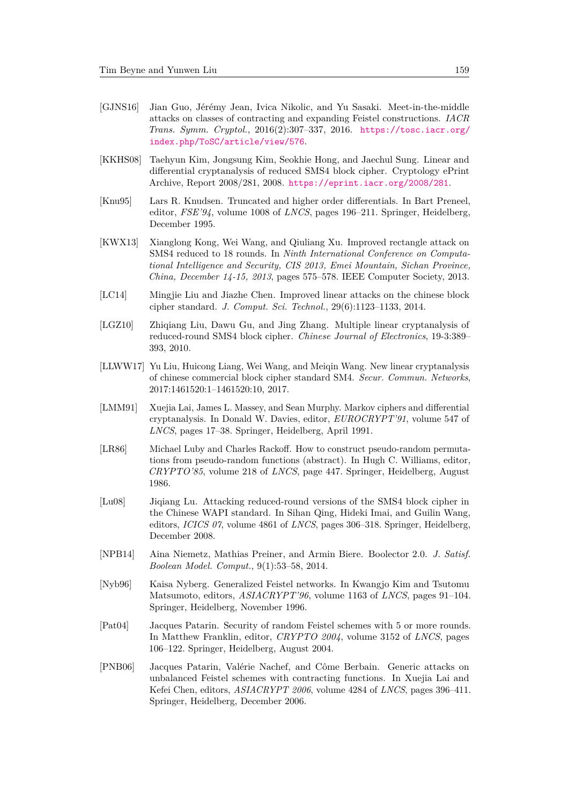- <span id="page-18-2"></span>[GJNS16] Jian Guo, Jérémy Jean, Ivica Nikolic, and Yu Sasaki. Meet-in-the-middle attacks on classes of contracting and expanding Feistel constructions. *IACR Trans. Symm. Cryptol.*, 2016(2):307–337, 2016. [https://tosc.iacr.org/](https://tosc.iacr.org/index.php/ToSC/article/view/576) [index.php/ToSC/article/view/576](https://tosc.iacr.org/index.php/ToSC/article/view/576).
- <span id="page-18-11"></span>[KKHS08] Taehyun Kim, Jongsung Kim, Seokhie Hong, and Jaechul Sung. Linear and differential cryptanalysis of reduced SMS4 block cipher. Cryptology ePrint Archive, Report 2008/281, 2008. <https://eprint.iacr.org/2008/281>.
- <span id="page-18-5"></span>[Knu95] Lars R. Knudsen. Truncated and higher order differentials. In Bart Preneel, editor, *FSE'94*, volume 1008 of *LNCS*, pages 196–211. Springer, Heidelberg, December 1995.
- <span id="page-18-12"></span>[KWX13] Xianglong Kong, Wei Wang, and Qiuliang Xu. Improved rectangle attack on SMS4 reduced to 18 rounds. In *Ninth International Conference on Computational Intelligence and Security, CIS 2013, Emei Mountain, Sichan Province, China, December 14-15, 2013*, pages 575–578. IEEE Computer Society, 2013.
- <span id="page-18-10"></span>[LC14] Mingjie Liu and Jiazhe Chen. Improved linear attacks on the chinese block cipher standard. *J. Comput. Sci. Technol.*, 29(6):1123–1133, 2014.
- <span id="page-18-9"></span>[LGZ10] Zhiqiang Liu, Dawu Gu, and Jing Zhang. Multiple linear cryptanalysis of reduced-round SMS4 block cipher. *Chinese Journal of Electronics*, 19-3:389– 393, 2010.
- <span id="page-18-8"></span>[LLWW17] Yu Liu, Huicong Liang, Wei Wang, and Meiqin Wang. New linear cryptanalysis of chinese commercial block cipher standard SM4. *Secur. Commun. Networks*, 2017:1461520:1–1461520:10, 2017.
- <span id="page-18-6"></span>[LMM91] Xuejia Lai, James L. Massey, and Sean Murphy. Markov ciphers and differential cryptanalysis. In Donald W. Davies, editor, *EUROCRYPT'91*, volume 547 of *LNCS*, pages 17–38. Springer, Heidelberg, April 1991.
- <span id="page-18-1"></span>[LR86] Michael Luby and Charles Rackoff. How to construct pseudo-random permutations from pseudo-random functions (abstract). In Hugh C. Williams, editor, *CRYPTO'85*, volume 218 of *LNCS*, page 447. Springer, Heidelberg, August 1986.
- <span id="page-18-13"></span>[Lu08] Jiqiang Lu. Attacking reduced-round versions of the SMS4 block cipher in the Chinese WAPI standard. In Sihan Qing, Hideki Imai, and Guilin Wang, editors, *ICICS 07*, volume 4861 of *LNCS*, pages 306–318. Springer, Heidelberg, December 2008.
- <span id="page-18-7"></span>[NPB14] Aina Niemetz, Mathias Preiner, and Armin Biere. Boolector 2.0. *J. Satisf. Boolean Model. Comput.*, 9(1):53–58, 2014.
- <span id="page-18-0"></span>[Nyb96] Kaisa Nyberg. Generalized Feistel networks. In Kwangjo Kim and Tsutomu Matsumoto, editors, *ASIACRYPT'96*, volume 1163 of *LNCS*, pages 91–104. Springer, Heidelberg, November 1996.
- <span id="page-18-4"></span>[Pat04] Jacques Patarin. Security of random Feistel schemes with 5 or more rounds. In Matthew Franklin, editor, *CRYPTO 2004*, volume 3152 of *LNCS*, pages 106–122. Springer, Heidelberg, August 2004.
- <span id="page-18-3"></span>[PNB06] Jacques Patarin, Valérie Nachef, and Côme Berbain. Generic attacks on unbalanced Feistel schemes with contracting functions. In Xuejia Lai and Kefei Chen, editors, *ASIACRYPT 2006*, volume 4284 of *LNCS*, pages 396–411. Springer, Heidelberg, December 2006.